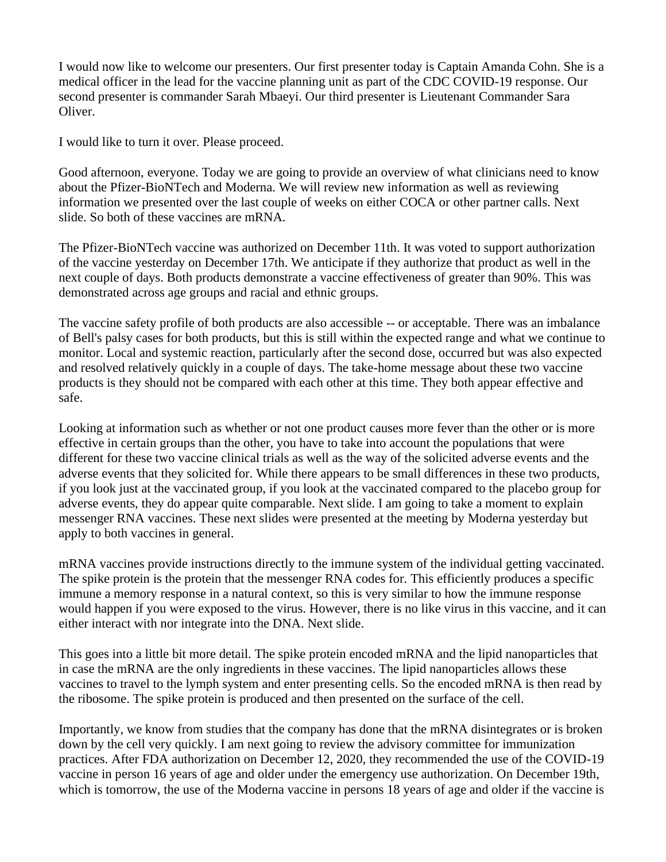I would now like to welcome our presenters. Our first presenter today is Captain Amanda Cohn. She is a medical officer in the lead for the vaccine planning unit as part of the CDC COVID-19 response. Our second presenter is commander Sarah Mbaeyi. Our third presenter is Lieutenant Commander Sara Oliver.

I would like to turn it over. Please proceed.

Good afternoon, everyone. Today we are going to provide an overview of what clinicians need to know about the Pfizer-BioNTech and Moderna. We will review new information as well as reviewing information we presented over the last couple of weeks on either COCA or other partner calls. Next slide. So both of these vaccines are mRNA.

The Pfizer-BioNTech vaccine was authorized on December 11th. It was voted to support authorization of the vaccine yesterday on December 17th. We anticipate if they authorize that product as well in the next couple of days. Both products demonstrate a vaccine effectiveness of greater than 90%. This was demonstrated across age groups and racial and ethnic groups.

The vaccine safety profile of both products are also accessible -- or acceptable. There was an imbalance of Bell's palsy cases for both products, but this is still within the expected range and what we continue to monitor. Local and systemic reaction, particularly after the second dose, occurred but was also expected and resolved relatively quickly in a couple of days. The take-home message about these two vaccine products is they should not be compared with each other at this time. They both appear effective and safe.

Looking at information such as whether or not one product causes more fever than the other or is more effective in certain groups than the other, you have to take into account the populations that were different for these two vaccine clinical trials as well as the way of the solicited adverse events and the adverse events that they solicited for. While there appears to be small differences in these two products, if you look just at the vaccinated group, if you look at the vaccinated compared to the placebo group for adverse events, they do appear quite comparable. Next slide. I am going to take a moment to explain messenger RNA vaccines. These next slides were presented at the meeting by Moderna yesterday but apply to both vaccines in general.

mRNA vaccines provide instructions directly to the immune system of the individual getting vaccinated. The spike protein is the protein that the messenger RNA codes for. This efficiently produces a specific immune a memory response in a natural context, so this is very similar to how the immune response would happen if you were exposed to the virus. However, there is no like virus in this vaccine, and it can either interact with nor integrate into the DNA. Next slide.

This goes into a little bit more detail. The spike protein encoded mRNA and the lipid nanoparticles that in case the mRNA are the only ingredients in these vaccines. The lipid nanoparticles allows these vaccines to travel to the lymph system and enter presenting cells. So the encoded mRNA is then read by the ribosome. The spike protein is produced and then presented on the surface of the cell.

Importantly, we know from studies that the company has done that the mRNA disintegrates or is broken down by the cell very quickly. I am next going to review the advisory committee for immunization practices. After FDA authorization on December 12, 2020, they recommended the use of the COVID-19 vaccine in person 16 years of age and older under the emergency use authorization. On December 19th, which is tomorrow, the use of the Moderna vaccine in persons 18 years of age and older if the vaccine is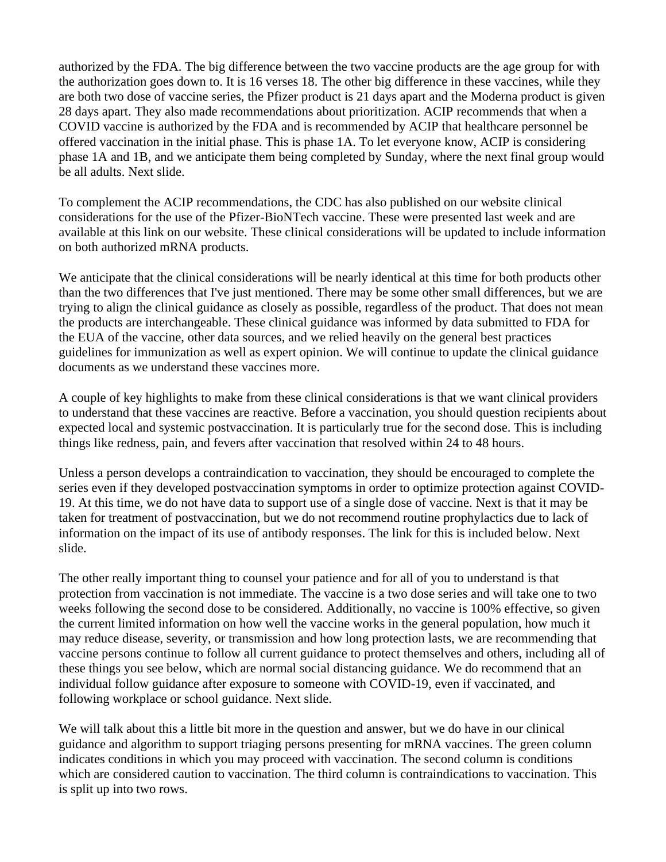authorized by the FDA. The big difference between the two vaccine products are the age group for with the authorization goes down to. It is 16 verses 18. The other big difference in these vaccines, while they are both two dose of vaccine series, the Pfizer product is 21 days apart and the Moderna product is given 28 days apart. They also made recommendations about prioritization. ACIP recommends that when a COVID vaccine is authorized by the FDA and is recommended by ACIP that healthcare personnel be offered vaccination in the initial phase. This is phase 1A. To let everyone know, ACIP is considering phase 1A and 1B, and we anticipate them being completed by Sunday, where the next final group would be all adults. Next slide.

To complement the ACIP recommendations, the CDC has also published on our website clinical considerations for the use of the Pfizer-BioNTech vaccine. These were presented last week and are available at this link on our website. These clinical considerations will be updated to include information on both authorized mRNA products.

We anticipate that the clinical considerations will be nearly identical at this time for both products other than the two differences that I've just mentioned. There may be some other small differences, but we are trying to align the clinical guidance as closely as possible, regardless of the product. That does not mean the products are interchangeable. These clinical guidance was informed by data submitted to FDA for the EUA of the vaccine, other data sources, and we relied heavily on the general best practices guidelines for immunization as well as expert opinion. We will continue to update the clinical guidance documents as we understand these vaccines more.

A couple of key highlights to make from these clinical considerations is that we want clinical providers to understand that these vaccines are reactive. Before a vaccination, you should question recipients about expected local and systemic postvaccination. It is particularly true for the second dose. This is including things like redness, pain, and fevers after vaccination that resolved within 24 to 48 hours.

Unless a person develops a contraindication to vaccination, they should be encouraged to complete the series even if they developed postvaccination symptoms in order to optimize protection against COVID-19. At this time, we do not have data to support use of a single dose of vaccine. Next is that it may be taken for treatment of postvaccination, but we do not recommend routine prophylactics due to lack of information on the impact of its use of antibody responses. The link for this is included below. Next slide.

The other really important thing to counsel your patience and for all of you to understand is that protection from vaccination is not immediate. The vaccine is a two dose series and will take one to two weeks following the second dose to be considered. Additionally, no vaccine is 100% effective, so given the current limited information on how well the vaccine works in the general population, how much it may reduce disease, severity, or transmission and how long protection lasts, we are recommending that vaccine persons continue to follow all current guidance to protect themselves and others, including all of these things you see below, which are normal social distancing guidance. We do recommend that an individual follow guidance after exposure to someone with COVID-19, even if vaccinated, and following workplace or school guidance. Next slide.

We will talk about this a little bit more in the question and answer, but we do have in our clinical guidance and algorithm to support triaging persons presenting for mRNA vaccines. The green column indicates conditions in which you may proceed with vaccination. The second column is conditions which are considered caution to vaccination. The third column is contraindications to vaccination. This is split up into two rows.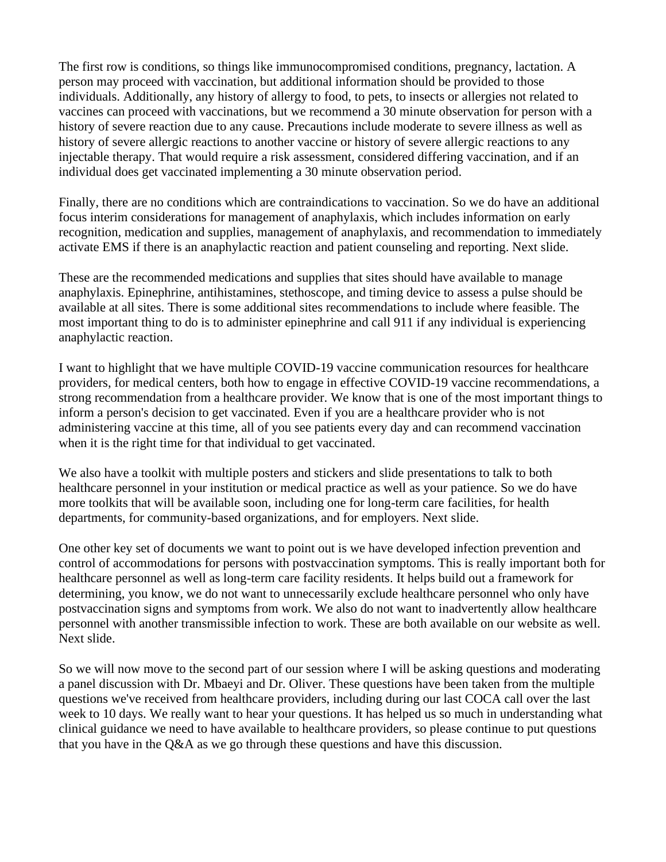The first row is conditions, so things like immunocompromised conditions, pregnancy, lactation. A person may proceed with vaccination, but additional information should be provided to those individuals. Additionally, any history of allergy to food, to pets, to insects or allergies not related to vaccines can proceed with vaccinations, but we recommend a 30 minute observation for person with a history of severe reaction due to any cause. Precautions include moderate to severe illness as well as history of severe allergic reactions to another vaccine or history of severe allergic reactions to any injectable therapy. That would require a risk assessment, considered differing vaccination, and if an individual does get vaccinated implementing a 30 minute observation period.

Finally, there are no conditions which are contraindications to vaccination. So we do have an additional focus interim considerations for management of anaphylaxis, which includes information on early recognition, medication and supplies, management of anaphylaxis, and recommendation to immediately activate EMS if there is an anaphylactic reaction and patient counseling and reporting. Next slide.

These are the recommended medications and supplies that sites should have available to manage anaphylaxis. Epinephrine, antihistamines, stethoscope, and timing device to assess a pulse should be available at all sites. There is some additional sites recommendations to include where feasible. The most important thing to do is to administer epinephrine and call 911 if any individual is experiencing anaphylactic reaction.

I want to highlight that we have multiple COVID-19 vaccine communication resources for healthcare providers, for medical centers, both how to engage in effective COVID-19 vaccine recommendations, a strong recommendation from a healthcare provider. We know that is one of the most important things to inform a person's decision to get vaccinated. Even if you are a healthcare provider who is not administering vaccine at this time, all of you see patients every day and can recommend vaccination when it is the right time for that individual to get vaccinated.

We also have a toolkit with multiple posters and stickers and slide presentations to talk to both healthcare personnel in your institution or medical practice as well as your patience. So we do have more toolkits that will be available soon, including one for long-term care facilities, for health departments, for community-based organizations, and for employers. Next slide.

One other key set of documents we want to point out is we have developed infection prevention and control of accommodations for persons with postvaccination symptoms. This is really important both for healthcare personnel as well as long-term care facility residents. It helps build out a framework for determining, you know, we do not want to unnecessarily exclude healthcare personnel who only have postvaccination signs and symptoms from work. We also do not want to inadvertently allow healthcare personnel with another transmissible infection to work. These are both available on our website as well. Next slide.

So we will now move to the second part of our session where I will be asking questions and moderating a panel discussion with Dr. Mbaeyi and Dr. Oliver. These questions have been taken from the multiple questions we've received from healthcare providers, including during our last COCA call over the last week to 10 days. We really want to hear your questions. It has helped us so much in understanding what clinical guidance we need to have available to healthcare providers, so please continue to put questions that you have in the  $O&A$  as we go through these questions and have this discussion.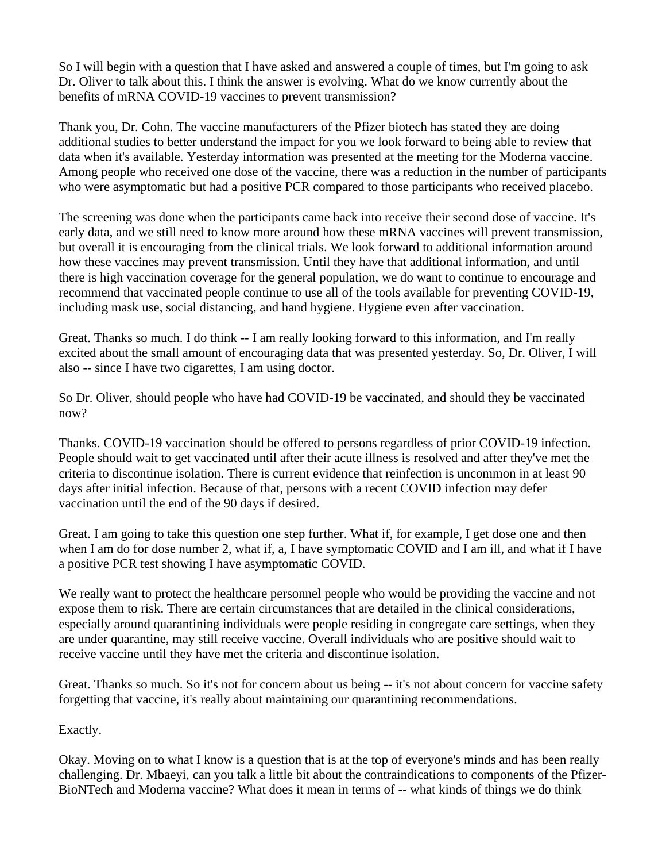So I will begin with a question that I have asked and answered a couple of times, but I'm going to ask Dr. Oliver to talk about this. I think the answer is evolving. What do we know currently about the benefits of mRNA COVID-19 vaccines to prevent transmission?

Thank you, Dr. Cohn. The vaccine manufacturers of the Pfizer biotech has stated they are doing additional studies to better understand the impact for you we look forward to being able to review that data when it's available. Yesterday information was presented at the meeting for the Moderna vaccine. Among people who received one dose of the vaccine, there was a reduction in the number of participants who were asymptomatic but had a positive PCR compared to those participants who received placebo.

The screening was done when the participants came back into receive their second dose of vaccine. It's early data, and we still need to know more around how these mRNA vaccines will prevent transmission, but overall it is encouraging from the clinical trials. We look forward to additional information around how these vaccines may prevent transmission. Until they have that additional information, and until there is high vaccination coverage for the general population, we do want to continue to encourage and recommend that vaccinated people continue to use all of the tools available for preventing COVID-19, including mask use, social distancing, and hand hygiene. Hygiene even after vaccination.

Great. Thanks so much. I do think -- I am really looking forward to this information, and I'm really excited about the small amount of encouraging data that was presented yesterday. So, Dr. Oliver, I will also -- since I have two cigarettes, I am using doctor.

So Dr. Oliver, should people who have had COVID-19 be vaccinated, and should they be vaccinated now?

Thanks. COVID-19 vaccination should be offered to persons regardless of prior COVID-19 infection. People should wait to get vaccinated until after their acute illness is resolved and after they've met the criteria to discontinue isolation. There is current evidence that reinfection is uncommon in at least 90 days after initial infection. Because of that, persons with a recent COVID infection may defer vaccination until the end of the 90 days if desired.

Great. I am going to take this question one step further. What if, for example, I get dose one and then when I am do for dose number 2, what if, a, I have symptomatic COVID and I am ill, and what if I have a positive PCR test showing I have asymptomatic COVID.

We really want to protect the healthcare personnel people who would be providing the vaccine and not expose them to risk. There are certain circumstances that are detailed in the clinical considerations, especially around quarantining individuals were people residing in congregate care settings, when they are under quarantine, may still receive vaccine. Overall individuals who are positive should wait to receive vaccine until they have met the criteria and discontinue isolation.

Great. Thanks so much. So it's not for concern about us being -- it's not about concern for vaccine safety forgetting that vaccine, it's really about maintaining our quarantining recommendations.

Exactly.

Okay. Moving on to what I know is a question that is at the top of everyone's minds and has been really challenging. Dr. Mbaeyi, can you talk a little bit about the contraindications to components of the Pfizer-BioNTech and Moderna vaccine? What does it mean in terms of -- what kinds of things we do think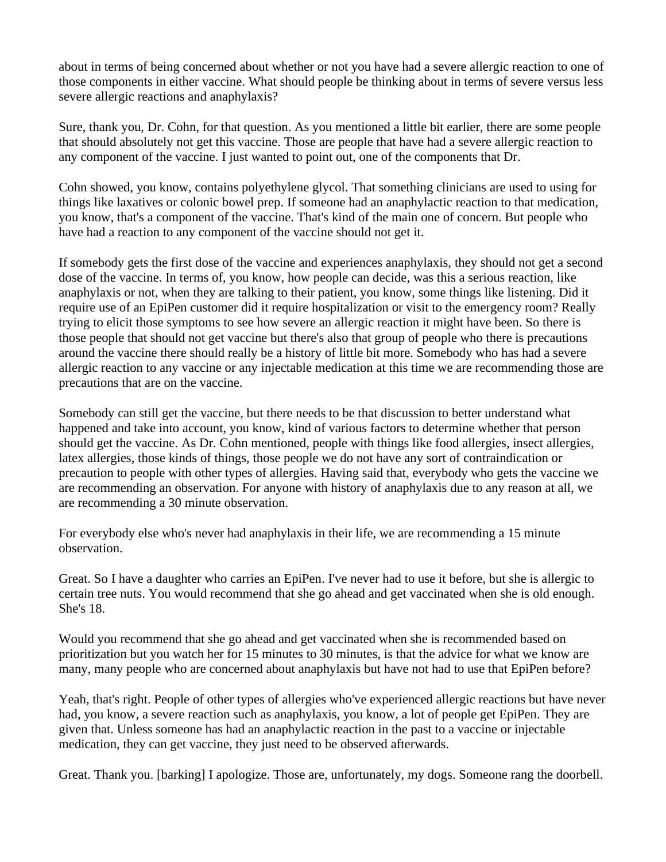about in terms of being concerned about whether or not you have had a severe allergic reaction to one of those components in either vaccine. What should people be thinking about in terms of severe versus less severe allergic reactions and anaphylaxis?

Sure, thank you, Dr. Cohn, for that question. As you mentioned a little bit earlier, there are some people that should absolutely not get this vaccine. Those are people that have had a severe allergic reaction to any component of the vaccine. I just wanted to point out, one of the components that Dr.

Cohn showed, you know, contains polyethylene glycol. That something clinicians are used to using for things like laxatives or colonic bowel prep. If someone had an anaphylactic reaction to that medication, you know, that's a component of the vaccine. That's kind of the main one of concern. But people who have had a reaction to any component of the vaccine should not get it.

If somebody gets the first dose of the vaccine and experiences anaphylaxis, they should not get a second dose of the vaccine. In terms of, you know, how people can decide, was this a serious reaction, like anaphylaxis or not, when they are talking to their patient, you know, some things like listening. Did it require use of an EpiPen customer did it require hospitalization or visit to the emergency room? Really trying to elicit those symptoms to see how severe an allergic reaction it might have been. So there is those people that should not get vaccine but there's also that group of people who there is precautions around the vaccine there should really be a history of little bit more. Somebody who has had a severe allergic reaction to any vaccine or any injectable medication at this time we are recommending those are precautions that are on the vaccine.

Somebody can still get the vaccine, but there needs to be that discussion to better understand what happened and take into account, you know, kind of various factors to determine whether that person should get the vaccine. As Dr. Cohn mentioned, people with things like food allergies, insect allergies, latex allergies, those kinds of things, those people we do not have any sort of contraindication or precaution to people with other types of allergies. Having said that, everybody who gets the vaccine we are recommending an observation. For anyone with history of anaphylaxis due to any reason at all, we are recommending a 30 minute observation.

For everybody else who's never had anaphylaxis in their life, we are recommending a 15 minute observation.

Great. So I have a daughter who carries an EpiPen. I've never had to use it before, but she is allergic to certain tree nuts. You would recommend that she go ahead and get vaccinated when she is old enough. She's 18.

Would you recommend that she go ahead and get vaccinated when she is recommended based on prioritization but you watch her for 15 minutes to 30 minutes, is that the advice for what we know are many, many people who are concerned about anaphylaxis but have not had to use that EpiPen before?

Yeah, that's right. People of other types of allergies who've experienced allergic reactions but have never had, you know, a severe reaction such as anaphylaxis, you know, a lot of people get EpiPen. They are given that. Unless someone has had an anaphylactic reaction in the past to a vaccine or injectable medication, they can get vaccine, they just need to be observed afterwards.

Great. Thank you. [barking] I apologize. Those are, unfortunately, my dogs. Someone rang the doorbell.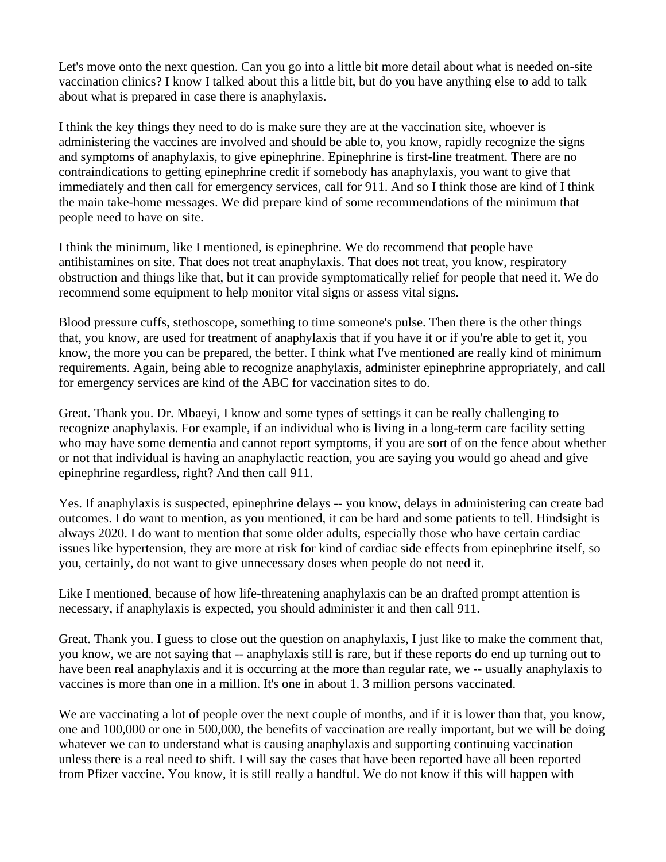Let's move onto the next question. Can you go into a little bit more detail about what is needed on-site vaccination clinics? I know I talked about this a little bit, but do you have anything else to add to talk about what is prepared in case there is anaphylaxis.

I think the key things they need to do is make sure they are at the vaccination site, whoever is administering the vaccines are involved and should be able to, you know, rapidly recognize the signs and symptoms of anaphylaxis, to give epinephrine. Epinephrine is first-line treatment. There are no contraindications to getting epinephrine credit if somebody has anaphylaxis, you want to give that immediately and then call for emergency services, call for 911. And so I think those are kind of I think the main take-home messages. We did prepare kind of some recommendations of the minimum that people need to have on site.

I think the minimum, like I mentioned, is epinephrine. We do recommend that people have antihistamines on site. That does not treat anaphylaxis. That does not treat, you know, respiratory obstruction and things like that, but it can provide symptomatically relief for people that need it. We do recommend some equipment to help monitor vital signs or assess vital signs.

Blood pressure cuffs, stethoscope, something to time someone's pulse. Then there is the other things that, you know, are used for treatment of anaphylaxis that if you have it or if you're able to get it, you know, the more you can be prepared, the better. I think what I've mentioned are really kind of minimum requirements. Again, being able to recognize anaphylaxis, administer epinephrine appropriately, and call for emergency services are kind of the ABC for vaccination sites to do.

Great. Thank you. Dr. Mbaeyi, I know and some types of settings it can be really challenging to recognize anaphylaxis. For example, if an individual who is living in a long-term care facility setting who may have some dementia and cannot report symptoms, if you are sort of on the fence about whether or not that individual is having an anaphylactic reaction, you are saying you would go ahead and give epinephrine regardless, right? And then call 911.

Yes. If anaphylaxis is suspected, epinephrine delays -- you know, delays in administering can create bad outcomes. I do want to mention, as you mentioned, it can be hard and some patients to tell. Hindsight is always 2020. I do want to mention that some older adults, especially those who have certain cardiac issues like hypertension, they are more at risk for kind of cardiac side effects from epinephrine itself, so you, certainly, do not want to give unnecessary doses when people do not need it.

Like I mentioned, because of how life-threatening anaphylaxis can be an drafted prompt attention is necessary, if anaphylaxis is expected, you should administer it and then call 911.

Great. Thank you. I guess to close out the question on anaphylaxis, I just like to make the comment that, you know, we are not saying that -- anaphylaxis still is rare, but if these reports do end up turning out to have been real anaphylaxis and it is occurring at the more than regular rate, we -- usually anaphylaxis to vaccines is more than one in a million. It's one in about 1. 3 million persons vaccinated.

We are vaccinating a lot of people over the next couple of months, and if it is lower than that, you know, one and 100,000 or one in 500,000, the benefits of vaccination are really important, but we will be doing whatever we can to understand what is causing anaphylaxis and supporting continuing vaccination unless there is a real need to shift. I will say the cases that have been reported have all been reported from Pfizer vaccine. You know, it is still really a handful. We do not know if this will happen with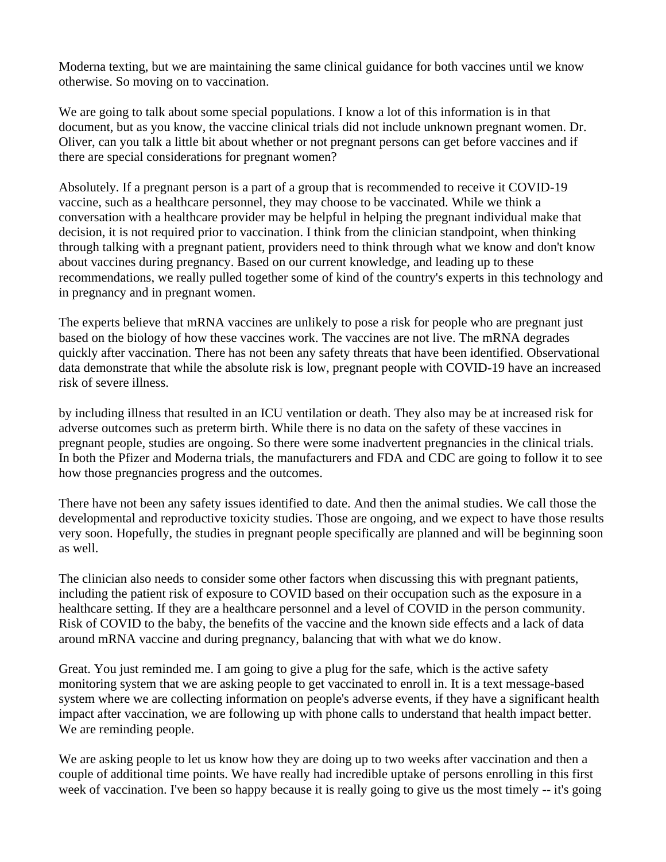Moderna texting, but we are maintaining the same clinical guidance for both vaccines until we know otherwise. So moving on to vaccination.

We are going to talk about some special populations. I know a lot of this information is in that document, but as you know, the vaccine clinical trials did not include unknown pregnant women. Dr. Oliver, can you talk a little bit about whether or not pregnant persons can get before vaccines and if there are special considerations for pregnant women?

Absolutely. If a pregnant person is a part of a group that is recommended to receive it COVID-19 vaccine, such as a healthcare personnel, they may choose to be vaccinated. While we think a conversation with a healthcare provider may be helpful in helping the pregnant individual make that decision, it is not required prior to vaccination. I think from the clinician standpoint, when thinking through talking with a pregnant patient, providers need to think through what we know and don't know about vaccines during pregnancy. Based on our current knowledge, and leading up to these recommendations, we really pulled together some of kind of the country's experts in this technology and in pregnancy and in pregnant women.

The experts believe that mRNA vaccines are unlikely to pose a risk for people who are pregnant just based on the biology of how these vaccines work. The vaccines are not live. The mRNA degrades quickly after vaccination. There has not been any safety threats that have been identified. Observational data demonstrate that while the absolute risk is low, pregnant people with COVID-19 have an increased risk of severe illness.

by including illness that resulted in an ICU ventilation or death. They also may be at increased risk for adverse outcomes such as preterm birth. While there is no data on the safety of these vaccines in pregnant people, studies are ongoing. So there were some inadvertent pregnancies in the clinical trials. In both the Pfizer and Moderna trials, the manufacturers and FDA and CDC are going to follow it to see how those pregnancies progress and the outcomes.

There have not been any safety issues identified to date. And then the animal studies. We call those the developmental and reproductive toxicity studies. Those are ongoing, and we expect to have those results very soon. Hopefully, the studies in pregnant people specifically are planned and will be beginning soon as well.

The clinician also needs to consider some other factors when discussing this with pregnant patients, including the patient risk of exposure to COVID based on their occupation such as the exposure in a healthcare setting. If they are a healthcare personnel and a level of COVID in the person community. Risk of COVID to the baby, the benefits of the vaccine and the known side effects and a lack of data around mRNA vaccine and during pregnancy, balancing that with what we do know.

Great. You just reminded me. I am going to give a plug for the safe, which is the active safety monitoring system that we are asking people to get vaccinated to enroll in. It is a text message-based system where we are collecting information on people's adverse events, if they have a significant health impact after vaccination, we are following up with phone calls to understand that health impact better. We are reminding people.

We are asking people to let us know how they are doing up to two weeks after vaccination and then a couple of additional time points. We have really had incredible uptake of persons enrolling in this first week of vaccination. I've been so happy because it is really going to give us the most timely -- it's going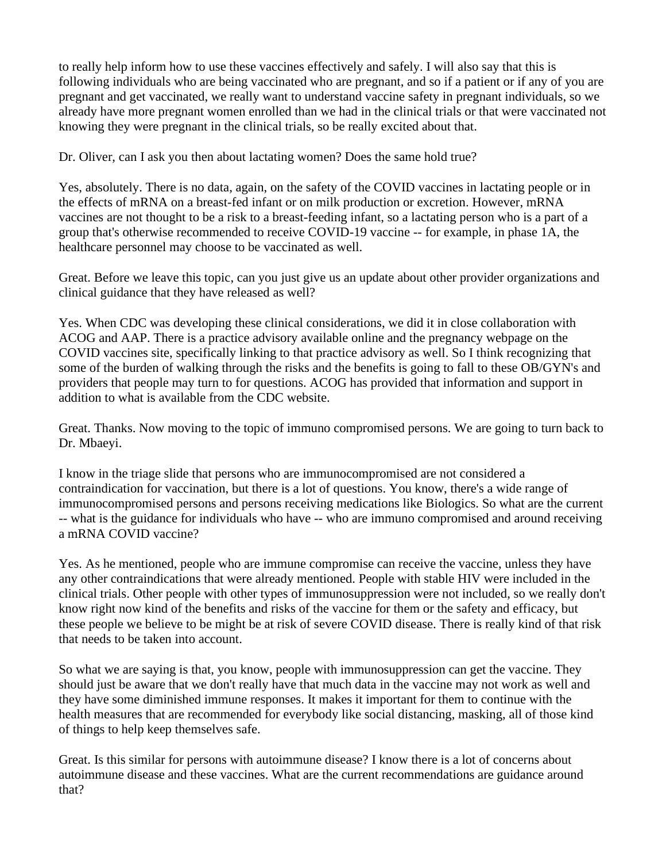to really help inform how to use these vaccines effectively and safely. I will also say that this is following individuals who are being vaccinated who are pregnant, and so if a patient or if any of you are pregnant and get vaccinated, we really want to understand vaccine safety in pregnant individuals, so we already have more pregnant women enrolled than we had in the clinical trials or that were vaccinated not knowing they were pregnant in the clinical trials, so be really excited about that.

Dr. Oliver, can I ask you then about lactating women? Does the same hold true?

Yes, absolutely. There is no data, again, on the safety of the COVID vaccines in lactating people or in the effects of mRNA on a breast-fed infant or on milk production or excretion. However, mRNA vaccines are not thought to be a risk to a breast-feeding infant, so a lactating person who is a part of a group that's otherwise recommended to receive COVID-19 vaccine -- for example, in phase 1A, the healthcare personnel may choose to be vaccinated as well.

Great. Before we leave this topic, can you just give us an update about other provider organizations and clinical guidance that they have released as well?

Yes. When CDC was developing these clinical considerations, we did it in close collaboration with ACOG and AAP. There is a practice advisory available online and the pregnancy webpage on the COVID vaccines site, specifically linking to that practice advisory as well. So I think recognizing that some of the burden of walking through the risks and the benefits is going to fall to these OB/GYN's and providers that people may turn to for questions. ACOG has provided that information and support in addition to what is available from the CDC website.

Great. Thanks. Now moving to the topic of immuno compromised persons. We are going to turn back to Dr. Mbaeyi.

I know in the triage slide that persons who are immunocompromised are not considered a contraindication for vaccination, but there is a lot of questions. You know, there's a wide range of immunocompromised persons and persons receiving medications like Biologics. So what are the current -- what is the guidance for individuals who have -- who are immuno compromised and around receiving a mRNA COVID vaccine?

Yes. As he mentioned, people who are immune compromise can receive the vaccine, unless they have any other contraindications that were already mentioned. People with stable HIV were included in the clinical trials. Other people with other types of immunosuppression were not included, so we really don't know right now kind of the benefits and risks of the vaccine for them or the safety and efficacy, but these people we believe to be might be at risk of severe COVID disease. There is really kind of that risk that needs to be taken into account.

So what we are saying is that, you know, people with immunosuppression can get the vaccine. They should just be aware that we don't really have that much data in the vaccine may not work as well and they have some diminished immune responses. It makes it important for them to continue with the health measures that are recommended for everybody like social distancing, masking, all of those kind of things to help keep themselves safe.

Great. Is this similar for persons with autoimmune disease? I know there is a lot of concerns about autoimmune disease and these vaccines. What are the current recommendations are guidance around that?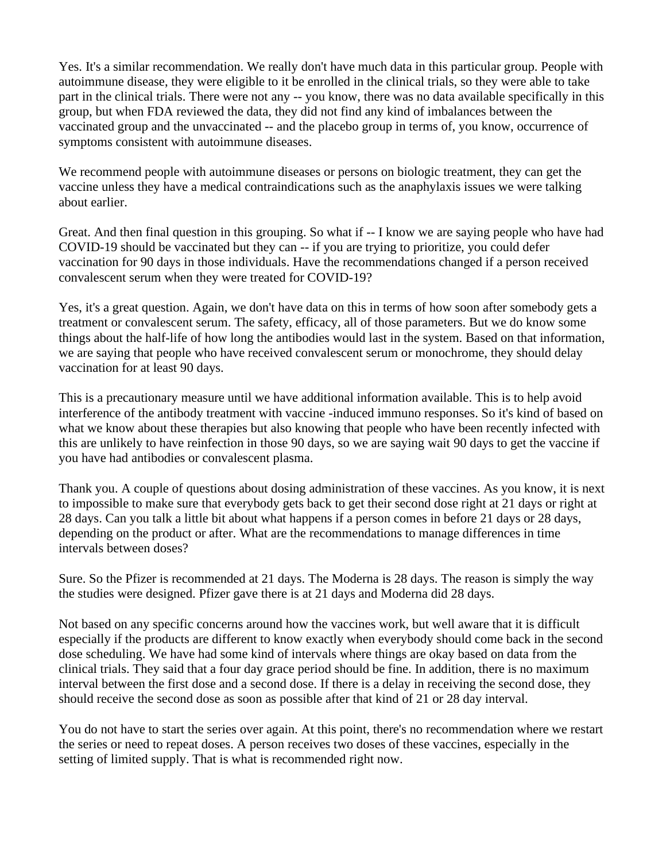Yes. It's a similar recommendation. We really don't have much data in this particular group. People with autoimmune disease, they were eligible to it be enrolled in the clinical trials, so they were able to take part in the clinical trials. There were not any -- you know, there was no data available specifically in this group, but when FDA reviewed the data, they did not find any kind of imbalances between the vaccinated group and the unvaccinated -- and the placebo group in terms of, you know, occurrence of symptoms consistent with autoimmune diseases.

We recommend people with autoimmune diseases or persons on biologic treatment, they can get the vaccine unless they have a medical contraindications such as the anaphylaxis issues we were talking about earlier.

Great. And then final question in this grouping. So what if -- I know we are saying people who have had COVID-19 should be vaccinated but they can -- if you are trying to prioritize, you could defer vaccination for 90 days in those individuals. Have the recommendations changed if a person received convalescent serum when they were treated for COVID-19?

Yes, it's a great question. Again, we don't have data on this in terms of how soon after somebody gets a treatment or convalescent serum. The safety, efficacy, all of those parameters. But we do know some things about the half-life of how long the antibodies would last in the system. Based on that information, we are saying that people who have received convalescent serum or monochrome, they should delay vaccination for at least 90 days.

This is a precautionary measure until we have additional information available. This is to help avoid interference of the antibody treatment with vaccine -induced immuno responses. So it's kind of based on what we know about these therapies but also knowing that people who have been recently infected with this are unlikely to have reinfection in those 90 days, so we are saying wait 90 days to get the vaccine if you have had antibodies or convalescent plasma.

Thank you. A couple of questions about dosing administration of these vaccines. As you know, it is next to impossible to make sure that everybody gets back to get their second dose right at 21 days or right at 28 days. Can you talk a little bit about what happens if a person comes in before 21 days or 28 days, depending on the product or after. What are the recommendations to manage differences in time intervals between doses?

Sure. So the Pfizer is recommended at 21 days. The Moderna is 28 days. The reason is simply the way the studies were designed. Pfizer gave there is at 21 days and Moderna did 28 days.

Not based on any specific concerns around how the vaccines work, but well aware that it is difficult especially if the products are different to know exactly when everybody should come back in the second dose scheduling. We have had some kind of intervals where things are okay based on data from the clinical trials. They said that a four day grace period should be fine. In addition, there is no maximum interval between the first dose and a second dose. If there is a delay in receiving the second dose, they should receive the second dose as soon as possible after that kind of 21 or 28 day interval.

You do not have to start the series over again. At this point, there's no recommendation where we restart the series or need to repeat doses. A person receives two doses of these vaccines, especially in the setting of limited supply. That is what is recommended right now.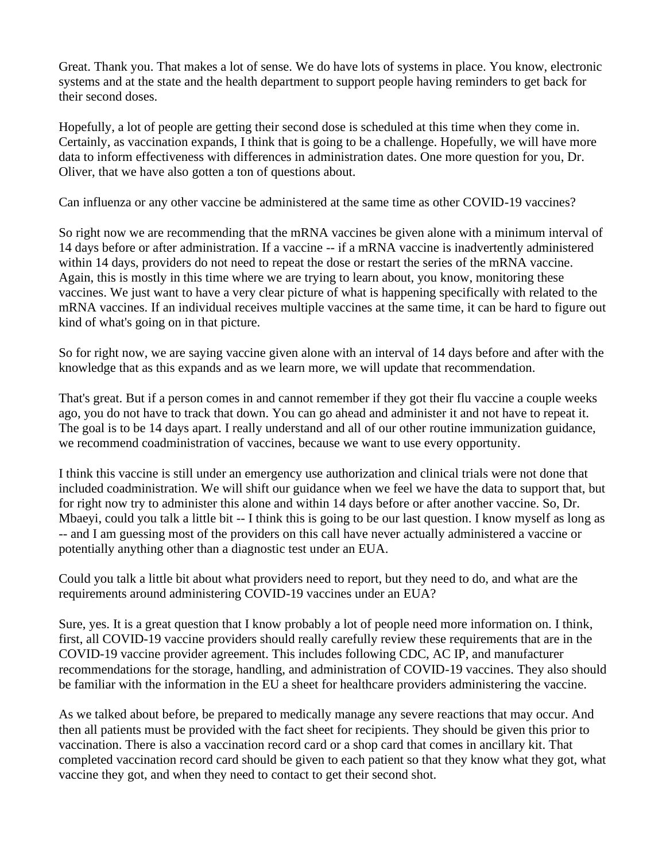Great. Thank you. That makes a lot of sense. We do have lots of systems in place. You know, electronic systems and at the state and the health department to support people having reminders to get back for their second doses.

Hopefully, a lot of people are getting their second dose is scheduled at this time when they come in. Certainly, as vaccination expands, I think that is going to be a challenge. Hopefully, we will have more data to inform effectiveness with differences in administration dates. One more question for you, Dr. Oliver, that we have also gotten a ton of questions about.

Can influenza or any other vaccine be administered at the same time as other COVID-19 vaccines?

So right now we are recommending that the mRNA vaccines be given alone with a minimum interval of 14 days before or after administration. If a vaccine -- if a mRNA vaccine is inadvertently administered within 14 days, providers do not need to repeat the dose or restart the series of the mRNA vaccine. Again, this is mostly in this time where we are trying to learn about, you know, monitoring these vaccines. We just want to have a very clear picture of what is happening specifically with related to the mRNA vaccines. If an individual receives multiple vaccines at the same time, it can be hard to figure out kind of what's going on in that picture.

So for right now, we are saying vaccine given alone with an interval of 14 days before and after with the knowledge that as this expands and as we learn more, we will update that recommendation.

That's great. But if a person comes in and cannot remember if they got their flu vaccine a couple weeks ago, you do not have to track that down. You can go ahead and administer it and not have to repeat it. The goal is to be 14 days apart. I really understand and all of our other routine immunization guidance, we recommend coadministration of vaccines, because we want to use every opportunity.

I think this vaccine is still under an emergency use authorization and clinical trials were not done that included coadministration. We will shift our guidance when we feel we have the data to support that, but for right now try to administer this alone and within 14 days before or after another vaccine. So, Dr. Mbaeyi, could you talk a little bit -- I think this is going to be our last question. I know myself as long as -- and I am guessing most of the providers on this call have never actually administered a vaccine or potentially anything other than a diagnostic test under an EUA.

Could you talk a little bit about what providers need to report, but they need to do, and what are the requirements around administering COVID-19 vaccines under an EUA?

Sure, yes. It is a great question that I know probably a lot of people need more information on. I think, first, all COVID-19 vaccine providers should really carefully review these requirements that are in the COVID-19 vaccine provider agreement. This includes following CDC, AC IP, and manufacturer recommendations for the storage, handling, and administration of COVID-19 vaccines. They also should be familiar with the information in the EU a sheet for healthcare providers administering the vaccine.

As we talked about before, be prepared to medically manage any severe reactions that may occur. And then all patients must be provided with the fact sheet for recipients. They should be given this prior to vaccination. There is also a vaccination record card or a shop card that comes in ancillary kit. That completed vaccination record card should be given to each patient so that they know what they got, what vaccine they got, and when they need to contact to get their second shot.